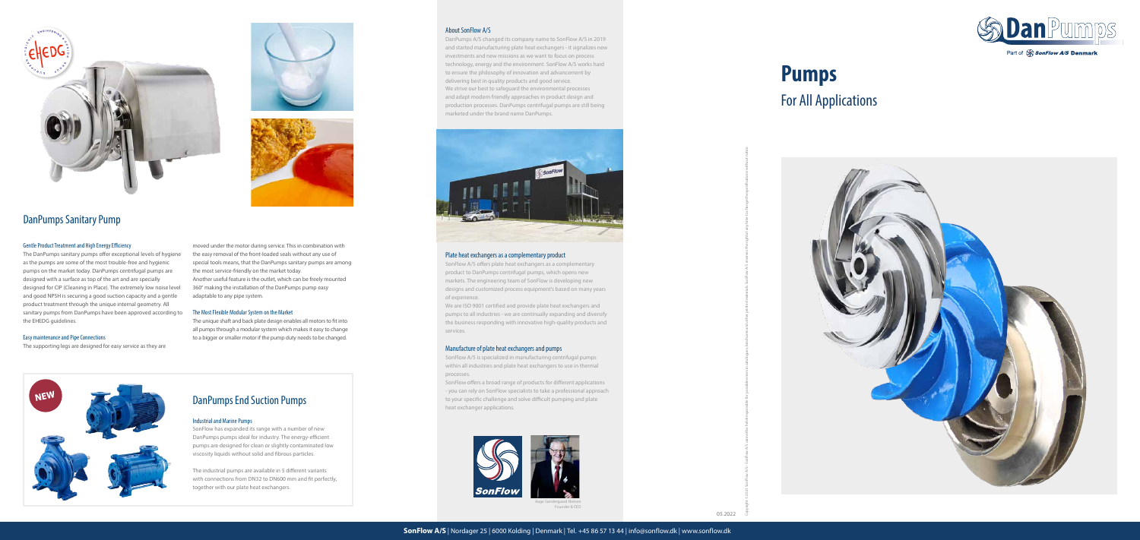#### Gentle Product Treatment and High Energy Efficiency

The DanPumps sanitary pumps offer exceptional levels of hygiene as the pumps are some of the most trouble-free and hygienic pumps on the market today. DanPumps centrifugal pumps are designed with a surface as top of the art and are specially designed for CIP (Cleaning in Place). The extremely low noise level and good NPSH is securing a good suction capacity and a gentle product treatment through the unique internal geometry. All sanitary pumps from DanPumps have been approved according to the EHEDG guidelines.

#### Easy maintenance and Pipe Connections

The supporting legs are designed for easy service as they are

moved under the motor during service. This in combination with the easy removal of the front-loaded seals without any use of special tools means, that the DanPumps sanitary pumps are among the most service-friendly on the market today. Another useful feature is the outlet, which can be freely mounted 360° making the installation of the DanPumps pump easy adaptable to any pipe system.

#### The Most Flexible Modular System on the Market

The unique shaft and back plate design enables all motors to fit into all pumps through a modular system which makes it easy to change to a bigger or smaller motor if the pump duty needs to be changed.



Aage Søndergaard Nielsen Founder & CEO

#### About SonFlow A/S

DanPumps A/S changed its company name to SonFlow A/S in 2019 and started manufacturing plate heat exchangers - it signalizes new investments and new missions as we want to focus on process technology, energy and the environment. SonFlow A/S works hard to ensure the philosophy of innovation and advancement by delivering best in quality products and good service. We strive our best to safeguard the environmental processes and adapt modern friendly approaches in product design and production processes. DanPumps centrifugal pumps are still being marketed under the brand name DanPumps.



#### Plate heat exchangers as a complementary product

SonFlow A/S offers plate heat exchangers as a complementary product to DanPumps centrifugal pumps, which opens new markets. The engineering team of SonFlow is developing new designs and customized process equipment's based on many years of experience.

We are ISO 9001 certified and provide plate heat exchangers and pumps to all industries - we are continually expanding and diversify the business responding with innovative high-quality products and services.

#### Manufacture of plate heat exchangers and pumps

SonFlow A/S is specialized in manufacturing centrifugal pumps within all industries and plate heat exchangers to use in thermal processes.

SonFlow offers a broad range of products for different applications - you can rely on SonFlow specialists to take a professional approach to your specific challenge and solve difficult pumping and plate heat exchanger applications.





Copyright © 2021 SonFlow A/S cannot be held responsible for possible errors in catalogues, brochures and other printed materials. SonFlow A/S reserves the right at any time to change the specifications without notice.







# DanPumps Sanitary Pump

# **Pumps**

# For All Applications



**DanPur** 

Part of SonFlow A/S Denmark

# DanPumps End Suction Pumps

#### Industrial and Marine Pumps

SonFlow has expanded its range with a number of new DanPumps pumps ideal for industry. The energy-efficient pumps are designed for clean or slightly contaminated low viscosity liquids without solid and fibrous particles.

The industrial pumps are available in 5 different variants with connections from DN32 to DN600 mm and fit perfectly, together with our plate heat exchangers.